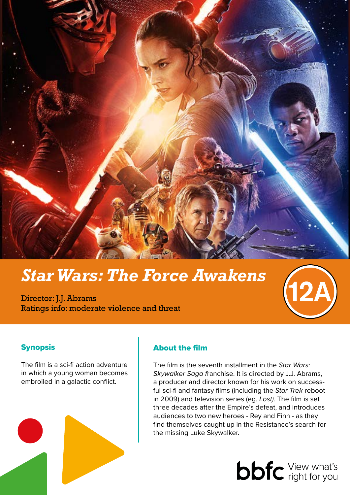

# *Star Wars: The Force Awakens*

Director: J.J. Abrams Ratings info: moderate violence and threat

# Synopsis

The film is a sci-fi action adventure in which a young woman becomes embroiled in a galactic conflict.



# About the film

The film is the seventh installment in the *Star Wars: Skywalker Saga f*ranchise. It is directed by J.J. Abrams, a producer and director known for his work on successful sci-fi and fantasy films (including the *Star Trek* reboot in 2009) and television series (eg. *Lost)*. The film is set three decades after the Empire's defeat, and introduces audiences to two new heroes - Rey and Finn - as they find themselves caught up in the Resistance's search for the missing Luke Skywalker.